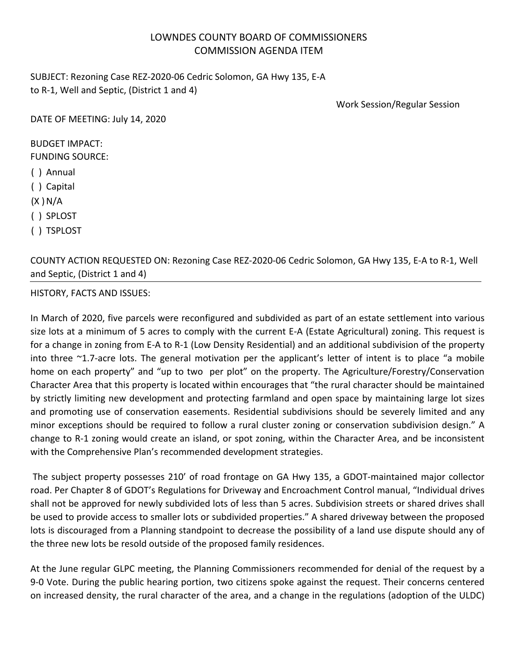## LOWNDES COUNTY BOARD OF COMMISSIONERS COMMISSION AGENDA ITEM

SUBJECT: Rezoning Case REZ-2020-06 Cedric Solomon, GA Hwy 135, E-A to R-1, Well and Septic, (District 1 and 4)

Work Session/Regular Session

DATE OF MEETING: July 14, 2020

## BUDGET IMPACT:

FUNDING SOURCE:

- ( ) Annual
- ( ) Capital

 $(X)$  N/A

- ( ) SPLOST
- ( ) TSPLOST

COUNTY ACTION REQUESTED ON: Rezoning Case REZ-2020-06 Cedric Solomon, GA Hwy 135, E-A to R-1, Well and Septic, (District 1 and 4)

## HISTORY, FACTS AND ISSUES:

In March of 2020, five parcels were reconfigured and subdivided as part of an estate settlement into various size lots at a minimum of 5 acres to comply with the current E-A (Estate Agricultural) zoning. This request is for a change in zoning from E-A to R-1 (Low Density Residential) and an additional subdivision of the property into three ~1.7-acre lots. The general motivation per the applicant's letter of intent is to place "a mobile home on each property" and "up to two per plot" on the property. The Agriculture/Forestry/Conservation Character Area that this property is located within encourages that "the rural character should be maintained by strictly limiting new development and protecting farmland and open space by maintaining large lot sizes and promoting use of conservation easements. Residential subdivisions should be severely limited and any minor exceptions should be required to follow a rural cluster zoning or conservation subdivision design." A change to R-1 zoning would create an island, or spot zoning, within the Character Area, and be inconsistent with the Comprehensive Plan's recommended development strategies.

The subject property possesses 210' of road frontage on GA Hwy 135, a GDOT-maintained major collector road. Per Chapter 8 of GDOT's Regulations for Driveway and Encroachment Control manual, "Individual drives shall not be approved for newly subdivided lots of less than 5 acres. Subdivision streets or shared drives shall be used to provide access to smaller lots or subdivided properties." A shared driveway between the proposed lots is discouraged from a Planning standpoint to decrease the possibility of a land use dispute should any of the three new lots be resold outside of the proposed family residences.

At the June regular GLPC meeting, the Planning Commissioners recommended for denial of the request by a 9-0 Vote. During the public hearing portion, two citizens spoke against the request. Their concerns centered on increased density, the rural character of the area, and a change in the regulations (adoption of the ULDC)